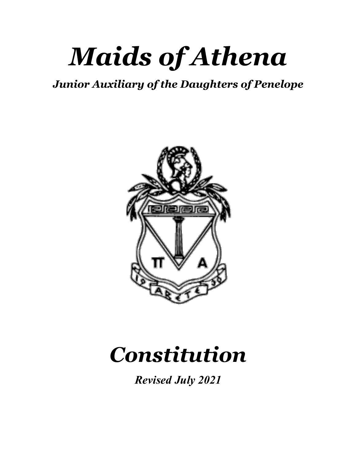# *Maids of Athena*

## *Junior Auxiliary of the Daughters of Penelope*



# *Constitution*

*Revised July 2021*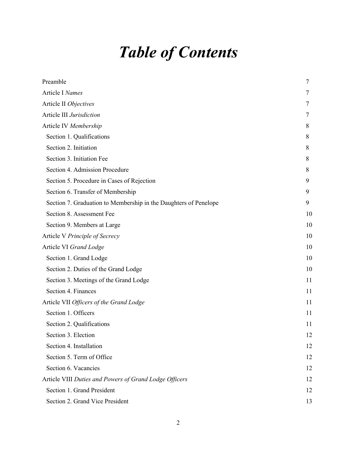## *Table of Contents*

| Preamble                                                         | 7  |
|------------------------------------------------------------------|----|
| Article I Names                                                  | 7  |
| Article II Objectives                                            | 7  |
| Article III Jurisdiction                                         | 7  |
| Article IV Membership                                            | 8  |
| Section 1. Qualifications                                        | 8  |
| Section 2. Initiation                                            | 8  |
| Section 3. Initiation Fee                                        | 8  |
| Section 4. Admission Procedure                                   | 8  |
| Section 5. Procedure in Cases of Rejection                       | 9  |
| Section 6. Transfer of Membership                                | 9  |
| Section 7. Graduation to Membership in the Daughters of Penelope | 9  |
| Section 8. Assessment Fee                                        | 10 |
| Section 9. Members at Large                                      | 10 |
| Article V Principle of Secrecy                                   | 10 |
| Article VI Grand Lodge                                           | 10 |
| Section 1. Grand Lodge                                           | 10 |
| Section 2. Duties of the Grand Lodge                             | 10 |
| Section 3. Meetings of the Grand Lodge                           | 11 |
| Section 4. Finances                                              | 11 |
| Article VII Officers of the Grand Lodge                          | 11 |
| Section 1. Officers                                              | 11 |
| Section 2. Qualifications                                        | 11 |
| Section 3. Election                                              | 12 |
| Section 4. Installation                                          | 12 |
| Section 5. Term of Office                                        | 12 |
| Section 6. Vacancies                                             | 12 |
| Article VIII Duties and Powers of Grand Lodge Officers           | 12 |
| Section 1. Grand President                                       | 12 |
| Section 2. Grand Vice President                                  | 13 |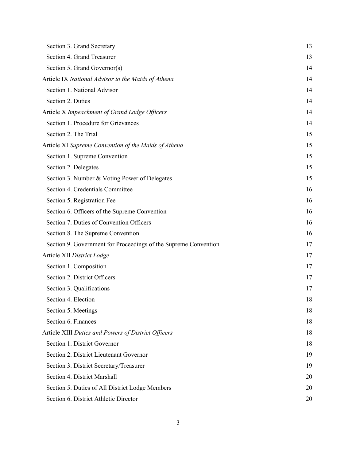| Section 3. Grand Secretary                                      | 13 |
|-----------------------------------------------------------------|----|
| Section 4. Grand Treasurer                                      | 13 |
| Section 5. Grand Governor(s)                                    | 14 |
| Article IX National Advisor to the Maids of Athena              | 14 |
| Section 1. National Advisor                                     | 14 |
| Section 2. Duties                                               | 14 |
| Article X Impeachment of Grand Lodge Officers                   | 14 |
| Section 1. Procedure for Grievances                             | 14 |
| Section 2. The Trial                                            | 15 |
| Article XI Supreme Convention of the Maids of Athena            | 15 |
| Section 1. Supreme Convention                                   | 15 |
| Section 2. Delegates                                            | 15 |
| Section 3. Number & Voting Power of Delegates                   | 15 |
| Section 4. Credentials Committee                                | 16 |
| Section 5. Registration Fee                                     | 16 |
| Section 6. Officers of the Supreme Convention                   | 16 |
| Section 7. Duties of Convention Officers                        | 16 |
| Section 8. The Supreme Convention                               | 16 |
| Section 9. Government for Proceedings of the Supreme Convention | 17 |
| Article XII District Lodge                                      | 17 |
| Section 1. Composition                                          | 17 |
| Section 2. District Officers                                    | 17 |
| Section 3. Qualifications                                       | 17 |
| Section 4. Election                                             | 18 |
| Section 5. Meetings                                             | 18 |
| Section 6. Finances                                             | 18 |
| Article XIII Duties and Powers of District Officers             | 18 |
| Section 1. District Governor                                    | 18 |
| Section 2. District Lieutenant Governor                         | 19 |
| Section 3. District Secretary/Treasurer                         | 19 |
| Section 4. District Marshall                                    | 20 |
| Section 5. Duties of All District Lodge Members                 | 20 |
| Section 6. District Athletic Director                           | 20 |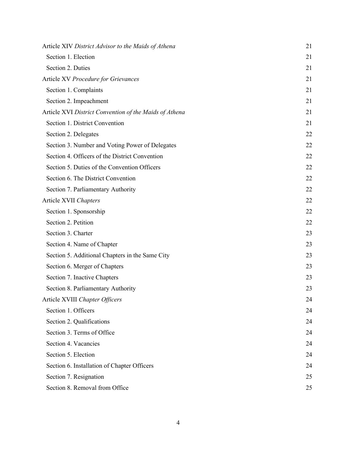| Article XIV District Advisor to the Maids of Athena    | 21 |
|--------------------------------------------------------|----|
| Section 1. Election                                    | 21 |
| Section 2. Duties                                      | 21 |
| Article XV Procedure for Grievances                    | 21 |
| Section 1. Complaints                                  | 21 |
| Section 2. Impeachment                                 | 21 |
| Article XVI District Convention of the Maids of Athena | 21 |
| Section 1. District Convention                         | 21 |
| Section 2. Delegates                                   | 22 |
| Section 3. Number and Voting Power of Delegates        | 22 |
| Section 4. Officers of the District Convention         | 22 |
| Section 5. Duties of the Convention Officers           | 22 |
| Section 6. The District Convention                     | 22 |
| Section 7. Parliamentary Authority                     | 22 |
| Article XVII Chapters                                  | 22 |
| Section 1. Sponsorship                                 | 22 |
| Section 2. Petition                                    | 22 |
| Section 3. Charter                                     | 23 |
| Section 4. Name of Chapter                             | 23 |
| Section 5. Additional Chapters in the Same City        | 23 |
| Section 6. Merger of Chapters                          | 23 |
| Section 7. Inactive Chapters                           | 23 |
| Section 8. Parliamentary Authority                     | 23 |
| Article XVIII Chapter Officers                         | 24 |
| Section 1. Officers                                    | 24 |
| Section 2. Qualifications                              | 24 |
| Section 3. Terms of Office                             | 24 |
| Section 4. Vacancies                                   | 24 |
| Section 5. Election                                    | 24 |
| Section 6. Installation of Chapter Officers            | 24 |
| Section 7. Resignation                                 | 25 |
| Section 8. Removal from Office                         | 25 |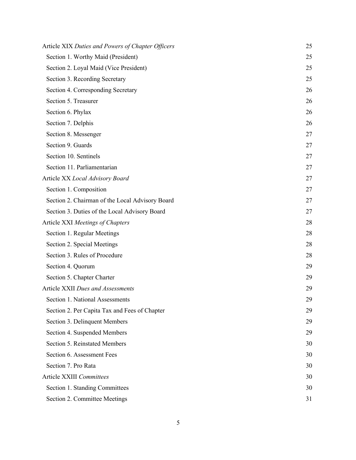| Article XIX Duties and Powers of Chapter Officers | 25 |
|---------------------------------------------------|----|
| Section 1. Worthy Maid (President)                | 25 |
| Section 2. Loyal Maid (Vice President)            | 25 |
| Section 3. Recording Secretary                    | 25 |
| Section 4. Corresponding Secretary                | 26 |
| Section 5. Treasurer                              | 26 |
| Section 6. Phylax                                 | 26 |
| Section 7. Delphis                                | 26 |
| Section 8. Messenger                              | 27 |
| Section 9. Guards                                 | 27 |
| Section 10. Sentinels                             | 27 |
| Section 11. Parliamentarian                       | 27 |
| Article XX Local Advisory Board                   | 27 |
| Section 1. Composition                            | 27 |
| Section 2. Chairman of the Local Advisory Board   | 27 |
| Section 3. Duties of the Local Advisory Board     | 27 |
| Article XXI Meetings of Chapters                  | 28 |
| Section 1. Regular Meetings                       | 28 |
| Section 2. Special Meetings                       | 28 |
| Section 3. Rules of Procedure                     | 28 |
| Section 4. Quorum                                 | 29 |
| Section 5. Chapter Charter                        | 29 |
| Article XXII Dues and Assessments                 | 29 |
| Section 1. National Assessments                   | 29 |
| Section 2. Per Capita Tax and Fees of Chapter     | 29 |
| Section 3. Delinquent Members                     | 29 |
| Section 4. Suspended Members                      | 29 |
| Section 5. Reinstated Members                     | 30 |
| Section 6. Assessment Fees                        | 30 |
| Section 7. Pro Rata                               | 30 |
| Article XXIII Committees                          | 30 |
| Section 1. Standing Committees                    | 30 |
| Section 2. Committee Meetings                     | 31 |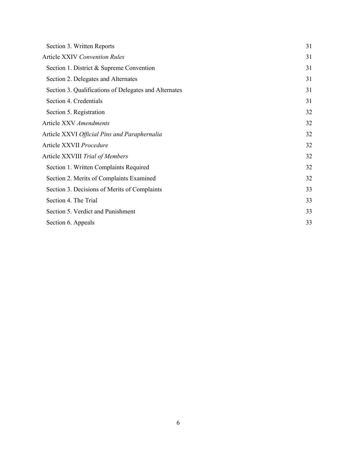| Section 3. Written Reports                            | 31 |
|-------------------------------------------------------|----|
| <b>Article XXIV Convention Rules</b>                  | 31 |
| Section 1. District & Supreme Convention              | 31 |
| Section 2. Delegates and Alternates                   | 31 |
| Section 3. Qualifications of Delegates and Alternates | 31 |
| Section 4. Credentials                                | 31 |
| Section 5. Registration                               | 32 |
| Article XXV Amendments                                | 32 |
| Article XXVI Official Pins and Paraphernalia          | 32 |
| Article XXVII Procedure                               | 32 |
| Article XXVIII Trial of Members                       | 32 |
| Section 1. Written Complaints Required                | 32 |
| Section 2. Merits of Complaints Examined              | 32 |
| Section 3. Decisions of Merits of Complaints          | 33 |
| Section 4. The Trial                                  | 33 |
| Section 5. Verdict and Punishment                     | 33 |
| Section 6. Appeals                                    | 33 |
|                                                       |    |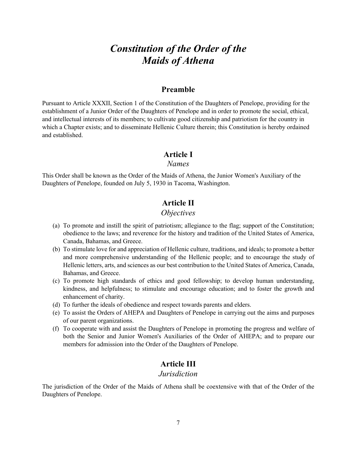## *Constitution of the Order of the Maids of Athena*

## **Preamble**

Pursuant to Article XXXII, Section 1 of the Constitution of the Daughters of Penelope, providing for the establishment of a Junior Order of the Daughters of Penelope and in order to promote the social, ethical, and intellectual interests of its members; to cultivate good citizenship and patriotism for the country in which a Chapter exists; and to disseminate Hellenic Culture therein; this Constitution is hereby ordained and established.

#### **Article I**

#### *Names*

This Order shall be known as the Order of the Maids of Athena, the Junior Women's Auxiliary of the Daughters of Penelope, founded on July 5, 1930 in Tacoma, Washington.

## **Article II**

## *Objectives*

- (a) To promote and instill the spirit of patriotism; allegiance to the flag; support of the Constitution; obedience to the laws; and reverence for the history and tradition of the United States of America, Canada, Bahamas, and Greece.
- (b) To stimulate love for and appreciation of Hellenic culture, traditions, and ideals; to promote a better and more comprehensive understanding of the Hellenic people; and to encourage the study of Hellenic letters, arts, and sciences as our best contribution to the United States of America, Canada, Bahamas, and Greece.
- (c) To promote high standards of ethics and good fellowship; to develop human understanding, kindness, and helpfulness; to stimulate and encourage education; and to foster the growth and enhancement of charity.
- (d) To further the ideals of obedience and respect towards parents and elders.
- (e) To assist the Orders of AHEPA and Daughters of Penelope in carrying out the aims and purposes of our parent organizations.
- (f) To cooperate with and assist the Daughters of Penelope in promoting the progress and welfare of both the Senior and Junior Women's Auxiliaries of the Order of AHEPA; and to prepare our members for admission into the Order of the Daughters of Penelope.

## **Article III**

## *Jurisdiction*

The jurisdiction of the Order of the Maids of Athena shall be coextensive with that of the Order of the Daughters of Penelope.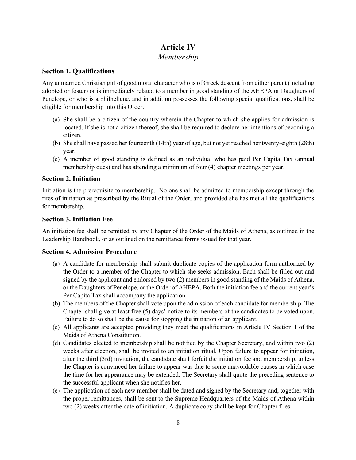## **Article IV**

## *Membership*

## **Section 1. Qualifications**

Any unmarried Christian girl of good moral character who is of Greek descent from either parent (including adopted or foster) or is immediately related to a member in good standing of the AHEPA or Daughters of Penelope, or who is a philhellene, and in addition possesses the following special qualifications, shall be eligible for membership into this Order.

- (a) She shall be a citizen of the country wherein the Chapter to which she applies for admission is located. If she is not a citizen thereof; she shall be required to declare her intentions of becoming a citizen.
- (b) She shall have passed her fourteenth (14th) year of age, but not yet reached her twenty-eighth (28th) year.
- (c) A member of good standing is defined as an individual who has paid Per Capita Tax (annual membership dues) and has attending a minimum of four (4) chapter meetings per year.

## **Section 2. Initiation**

Initiation is the prerequisite to membership. No one shall be admitted to membership except through the rites of initiation as prescribed by the Ritual of the Order, and provided she has met all the qualifications for membership.

## **Section 3. Initiation Fee**

An initiation fee shall be remitted by any Chapter of the Order of the Maids of Athena, as outlined in the Leadership Handbook, or as outlined on the remittance forms issued for that year.

#### **Section 4. Admission Procedure**

- (a) A candidate for membership shall submit duplicate copies of the application form authorized by the Order to a member of the Chapter to which she seeks admission. Each shall be filled out and signed by the applicant and endorsed by two (2) members in good standing of the Maids of Athena, or the Daughters of Penelope, or the Order of AHEPA. Both the initiation fee and the current year's Per Capita Tax shall accompany the application.
- (b) The members of the Chapter shall vote upon the admission of each candidate for membership. The Chapter shall give at least five (5) days' notice to its members of the candidates to be voted upon. Failure to do so shall be the cause for stopping the initiation of an applicant.
- (c) All applicants are accepted providing they meet the qualifications in Article IV Section 1 of the Maids of Athena Constitution.
- (d) Candidates elected to membership shall be notified by the Chapter Secretary, and within two (2) weeks after election, shall be invited to an initiation ritual. Upon failure to appear for initiation, after the third (3rd) invitation, the candidate shall forfeit the initiation fee and membership, unless the Chapter is convinced her failure to appear was due to some unavoidable causes in which case the time for her appearance may be extended. The Secretary shall quote the preceding sentence to the successful applicant when she notifies her.
- (e) The application of each new member shall be dated and signed by the Secretary and, together with the proper remittances, shall be sent to the Supreme Headquarters of the Maids of Athena within two (2) weeks after the date of initiation. A duplicate copy shall be kept for Chapter files.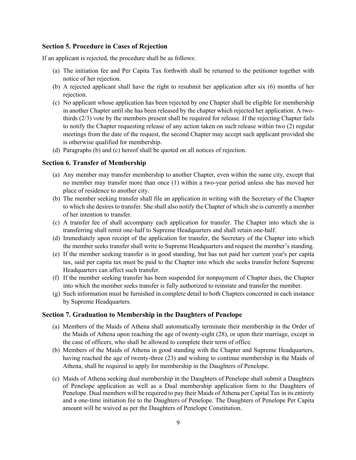#### **Section 5. Procedure in Cases of Rejection**

If an applicant is rejected, the procedure shall be as follows:

- (a) The initiation fee and Per Capita Tax forthwith shall be returned to the petitioner together with notice of her rejection.
- (b) A rejected applicant shall have the right to resubmit her application after six (6) months of her rejection.
- (c) No applicant whose application has been rejected by one Chapter shall be eligible for membership in another Chapter until she has been released by the chapter which rejected her application. A twothirds (2/3) vote by the members present shall be required for release. If the rejecting Chapter fails to notify the Chapter requesting release of any action taken on such release within two (2) regular meetings from the date of the request, the second Chapter may accept such applicant provided she is otherwise qualified for membership.
- (d) Paragraphs (b) and (c) hereof shall be quoted on all notices of rejection.

#### **Section 6. Transfer of Membership**

- (a) Any member may transfer membership to another Chapter, even within the same city, except that no member may transfer more than once (1) within a two-year period unless she has moved her place of residence to another city.
- (b) The member seeking transfer shall file an application in writing with the Secretary of the Chapter to which she desires to transfer. She shall also notify the Chapter of which she is currently a member of her intention to transfer.
- (c) A transfer fee of shall accompany each application for transfer. The Chapter into which she is transferring shall remit one-half to Supreme Headquarters and shall retain one-half.
- (d) Immediately upon receipt of the application for transfer, the Secretary of the Chapter into which the member seeks transfer shall write to Supreme Headquarters and request the member's standing.
- (e) If the member seeking transfer is in good standing, but has not paid her current year's per capita tax, said per capita tax must be paid to the Chapter into which she seeks transfer before Supreme Headquarters can affect such transfer.
- (f) If the member seeking transfer has been suspended for nonpayment of Chapter dues, the Chapter into which the member seeks transfer is fully authorized to reinstate and transfer the member.
- (g) Such information must be furnished in complete detail to both Chapters concerned in each instance by Supreme Headquarters.

#### **Section 7. Graduation to Membership in the Daughters of Penelope**

- (a) Members of the Maids of Athena shall automatically terminate their membership in the Order of the Maids of Athena upon reaching the age of twenty-eight (28), or upon their marriage, except in the case of officers, who shall be allowed to complete their term of office.
- (b) Members of the Maids of Athena in good standing with the Chapter and Supreme Headquarters, having reached the age of twenty-three (23) and wishing to continue membership in the Maids of Athena, shall be required to apply for membership in the Daughters of Penelope.
- (c) Maids of Athena seeking dual membership in the Daughters of Penelope shall submit a Daughters of Penelope application as well as a Dual membership application form to the Daughters of Penelope. Dual members will be required to pay their Maids of Athena per Capital Tax in its entirety and a one-time initiation fee to the Daughters of Penelope. The Daughters of Penelope Per Capita amount will be waived as per the Daughters of Penelope Constitution.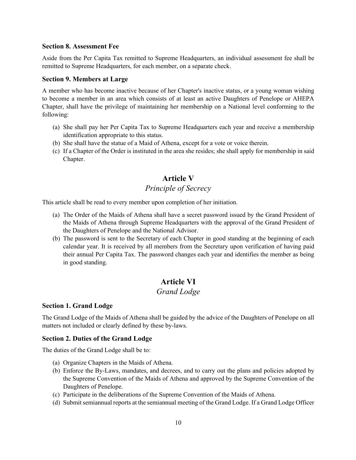#### **Section 8. Assessment Fee**

Aside from the Per Capita Tax remitted to Supreme Headquarters, an individual assessment fee shall be remitted to Supreme Headquarters, for each member, on a separate check.

#### **Section 9. Members at Large**

A member who has become inactive because of her Chapter's inactive status, or a young woman wishing to become a member in an area which consists of at least an active Daughters of Penelope or AHEPA Chapter, shall have the privilege of maintaining her membership on a National level conforming to the following:

- (a) She shall pay her Per Capita Tax to Supreme Headquarters each year and receive a membership identification appropriate to this status.
- (b) She shall have the statue of a Maid of Athena, except for a vote or voice therein.
- (c) If a Chapter of the Order is instituted in the area she resides; she shall apply for membership in said Chapter.

## **Article V**

## *Principle of Secrecy*

This article shall be read to every member upon completion of her initiation.

- (a) The Order of the Maids of Athena shall have a secret password issued by the Grand President of the Maids of Athena through Supreme Headquarters with the approval of the Grand President of the Daughters of Penelope and the National Advisor.
- (b) The password is sent to the Secretary of each Chapter in good standing at the beginning of each calendar year. It is received by all members from the Secretary upon verification of having paid their annual Per Capita Tax. The password changes each year and identifies the member as being in good standing.

## **Article VI**

## *Grand Lodge*

#### **Section 1. Grand Lodge**

The Grand Lodge of the Maids of Athena shall be guided by the advice of the Daughters of Penelope on all matters not included or clearly defined by these by-laws.

#### **Section 2. Duties of the Grand Lodge**

The duties of the Grand Lodge shall be to:

- (a) Organize Chapters in the Maids of Athena.
- (b) Enforce the By-Laws, mandates, and decrees, and to carry out the plans and policies adopted by the Supreme Convention of the Maids of Athena and approved by the Supreme Convention of the Daughters of Penelope.
- (c) Participate in the deliberations of the Supreme Convention of the Maids of Athena.
- (d) Submit semiannual reports at the semiannual meeting of the Grand Lodge. If a Grand Lodge Officer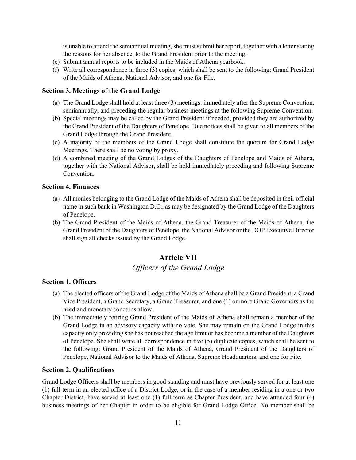is unable to attend the semiannual meeting, she must submit her report, together with a letter stating the reasons for her absence, to the Grand President prior to the meeting.

- (e) Submit annual reports to be included in the Maids of Athena yearbook.
- (f) Write all correspondence in three (3) copies, which shall be sent to the following: Grand President of the Maids of Athena, National Advisor, and one for File.

#### **Section 3. Meetings of the Grand Lodge**

- (a) The Grand Lodge shall hold at least three (3) meetings: immediately after the Supreme Convention, semiannually, and preceding the regular business meetings at the following Supreme Convention.
- (b) Special meetings may be called by the Grand President if needed, provided they are authorized by the Grand President of the Daughters of Penelope. Due notices shall be given to all members of the Grand Lodge through the Grand President.
- (c) A majority of the members of the Grand Lodge shall constitute the quorum for Grand Lodge Meetings. There shall be no voting by proxy.
- (d) A combined meeting of the Grand Lodges of the Daughters of Penelope and Maids of Athena, together with the National Advisor, shall be held immediately preceding and following Supreme Convention.

#### **Section 4. Finances**

- (a) All monies belonging to the Grand Lodge of the Maids of Athena shall be deposited in their official name in such bank in Washington D.C., as may be designated by the Grand Lodge of the Daughters of Penelope.
- (b) The Grand President of the Maids of Athena, the Grand Treasurer of the Maids of Athena, the Grand President of the Daughters of Penelope, the National Advisor or the DOP Executive Director shall sign all checks issued by the Grand Lodge.

## **Article VII**

## *Officers of the Grand Lodge*

#### **Section 1. Officers**

- (a) The elected officers of the Grand Lodge of the Maids of Athena shall be a Grand President, a Grand Vice President, a Grand Secretary, a Grand Treasurer, and one (1) or more Grand Governors as the need and monetary concerns allow.
- (b) The immediately retiring Grand President of the Maids of Athena shall remain a member of the Grand Lodge in an advisory capacity with no vote. She may remain on the Grand Lodge in this capacity only providing she has not reached the age limit or has become a member of the Daughters of Penelope. She shall write all correspondence in five (5) duplicate copies, which shall be sent to the following: Grand President of the Maids of Athena, Grand President of the Daughters of Penelope, National Advisor to the Maids of Athena, Supreme Headquarters, and one for File.

#### **Section 2. Qualifications**

Grand Lodge Officers shall be members in good standing and must have previously served for at least one (1) full term in an elected office of a District Lodge, or in the case of a member residing in a one or two Chapter District, have served at least one (1) full term as Chapter President, and have attended four (4) business meetings of her Chapter in order to be eligible for Grand Lodge Office. No member shall be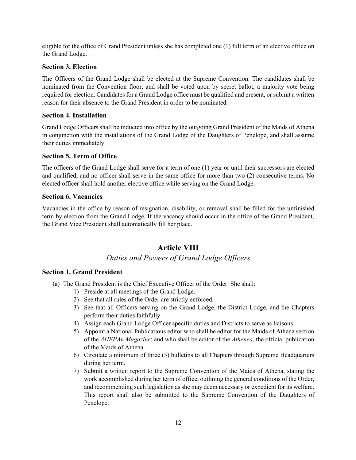eligible for the office of Grand President unless she has completed one (1) full term of an elective office on the Grand Lodge.

#### **Section 3. Election**

The Officers of the Grand Lodge shall be elected at the Supreme Convention. The candidates shall be nominated from the Convention floor, and shall be voted upon by secret ballot, a majority vote being required for election. Candidates for a Grand Lodge office must be qualified and present, or submit a written reason for their absence to the Grand President in order to be nominated.

#### **Section 4. Installation**

Grand Lodge Officers shall be inducted into office by the outgoing Grand President of the Maids of Athena in conjunction with the installations of the Grand Lodge of the Daughters of Penelope, and shall assume their duties immediately.

#### **Section 5. Term of Office**

The officers of the Grand Lodge shall serve for a term of one (1) year or until their successors are elected and qualified, and no officer shall serve in the same office for more than two (2) consecutive terms. No elected officer shall hold another elective office while serving on the Grand Lodge.

#### **Section 6. Vacancies**

Vacancies in the office by reason of resignation, disability, or removal shall be filled for the unfinished term by election from the Grand Lodge. If the vacancy should occur in the office of the Grand President, the Grand Vice President shall automatically fill her place.

## **Article VIII**

## *Duties and Powers of Grand Lodge Officers*

#### **Section 1. Grand President**

- (a) The Grand President is the Chief Executive Officer of the Order. She shall:
	- 1) Preside at all meetings of the Grand Lodge.
	- 2) See that all rules of the Order are strictly enforced.
	- 3) See that all Officers serving on the Grand Lodge, the District Lodge, and the Chapters perform their duties faithfully.
	- 4) Assign each Grand Lodge Officer specific duties and Districts to serve as liaisons.
	- 5) Appoint a National Publications editor who shall be editor for the Maids of Athena section of the *AHEPAn Magazine*; and who shall be editor of the *Athenea*, the official publication of the Maids of Athena.
	- 6) Circulate a minimum of three (3) bulletins to all Chapters through Supreme Headquarters during her term.
	- 7) Submit a written report to the Supreme Convention of the Maids of Athena, stating the work accomplished during her term of office, outlining the general conditions of the Order, and recommending such legislation as she may deem necessary or expedient for its welfare. This report shall also be submitted to the Supreme Convention of the Daughters of Penelope.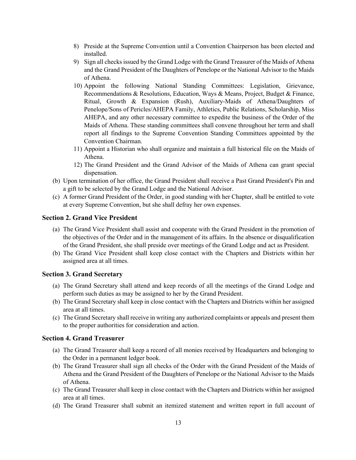- 8) Preside at the Supreme Convention until a Convention Chairperson has been elected and installed.
- 9) Sign all checks issued by the Grand Lodge with the Grand Treasurer of the Maids of Athena and the Grand President of the Daughters of Penelope or the National Advisor to the Maids of Athena.
- 10) Appoint the following National Standing Committees: Legislation, Grievance, Recommendations & Resolutions, Education, Ways & Means, Project, Budget & Finance, Ritual, Growth & Expansion (Rush), Auxiliary-Maids of Athena/Daughters of Penelope/Sons of Pericles/AHEPA Family, Athletics, Public Relations, Scholarship, Miss AHEPA, and any other necessary committee to expedite the business of the Order of the Maids of Athena. These standing committees shall convene throughout her term and shall report all findings to the Supreme Convention Standing Committees appointed by the Convention Chairman.
- 11) Appoint a Historian who shall organize and maintain a full historical file on the Maids of Athena.
- 12) The Grand President and the Grand Advisor of the Maids of Athena can grant special dispensation.
- (b) Upon termination of her office, the Grand President shall receive a Past Grand President's Pin and a gift to be selected by the Grand Lodge and the National Advisor.
- (c) A former Grand President of the Order, in good standing with her Chapter, shall be entitled to vote at every Supreme Convention, but she shall defray her own expenses.

#### **Section 2. Grand Vice President**

- (a) The Grand Vice President shall assist and cooperate with the Grand President in the promotion of the objectives of the Order and in the management of its affairs. In the absence or disqualification of the Grand President, she shall preside over meetings of the Grand Lodge and act as President.
- (b) The Grand Vice President shall keep close contact with the Chapters and Districts within her assigned area at all times.

#### **Section 3. Grand Secretary**

- (a) The Grand Secretary shall attend and keep records of all the meetings of the Grand Lodge and perform such duties as may be assigned to her by the Grand President.
- (b) The Grand Secretary shall keep in close contact with the Chapters and Districts within her assigned area at all times.
- (c) The Grand Secretary shall receive in writing any authorized complaints or appeals and present them to the proper authorities for consideration and action.

#### **Section 4. Grand Treasurer**

- (a) The Grand Treasurer shall keep a record of all monies received by Headquarters and belonging to the Order in a permanent ledger book.
- (b) The Grand Treasurer shall sign all checks of the Order with the Grand President of the Maids of Athena and the Grand President of the Daughters of Penelope or the National Advisor to the Maids of Athena.
- (c) The Grand Treasurer shall keep in close contact with the Chapters and Districts within her assigned area at all times.
- (d) The Grand Treasurer shall submit an itemized statement and written report in full account of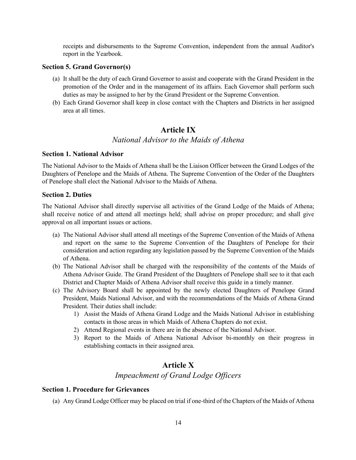receipts and disbursements to the Supreme Convention, independent from the annual Auditor's report in the Yearbook.

#### **Section 5. Grand Governor(s)**

- (a) It shall be the duty of each Grand Governor to assist and cooperate with the Grand President in the promotion of the Order and in the management of its affairs. Each Governor shall perform such duties as may be assigned to her by the Grand President or the Supreme Convention.
- (b) Each Grand Governor shall keep in close contact with the Chapters and Districts in her assigned area at all times.

## **Article IX**

#### *National Advisor to the Maids of Athena*

#### **Section 1. National Advisor**

The National Advisor to the Maids of Athena shall be the Liaison Officer between the Grand Lodges of the Daughters of Penelope and the Maids of Athena. The Supreme Convention of the Order of the Daughters of Penelope shall elect the National Advisor to the Maids of Athena.

#### **Section 2. Duties**

The National Advisor shall directly supervise all activities of the Grand Lodge of the Maids of Athena; shall receive notice of and attend all meetings held; shall advise on proper procedure; and shall give approval on all important issues or actions.

- (a) The National Advisor shall attend all meetings of the Supreme Convention of the Maids of Athena and report on the same to the Supreme Convention of the Daughters of Penelope for their consideration and action regarding any legislation passed by the Supreme Convention of the Maids of Athena.
- (b) The National Advisor shall be charged with the responsibility of the contents of the Maids of Athena Advisor Guide. The Grand President of the Daughters of Penelope shall see to it that each District and Chapter Maids of Athena Advisor shall receive this guide in a timely manner.
- (c) The Advisory Board shall be appointed by the newly elected Daughters of Penelope Grand President, Maids National Advisor, and with the recommendations of the Maids of Athena Grand President. Their duties shall include:
	- 1) Assist the Maids of Athena Grand Lodge and the Maids National Advisor in establishing contacts in those areas in which Maids of Athena Chapters do not exist.
	- 2) Attend Regional events in there are in the absence of the National Advisor.
	- 3) Report to the Maids of Athena National Advisor bi-monthly on their progress in establishing contacts in their assigned area.

## **Article X**

*Impeachment of Grand Lodge Officers*

#### **Section 1. Procedure for Grievances**

(a) Any Grand Lodge Officer may be placed on trial if one-third of the Chapters of the Maids of Athena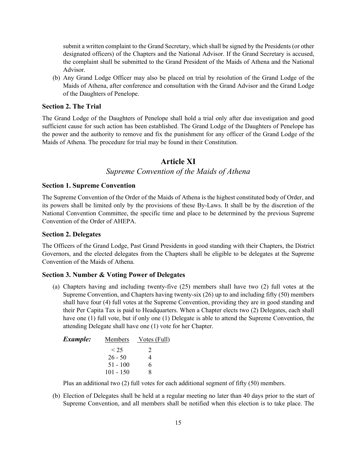submit a written complaint to the Grand Secretary, which shall be signed by the Presidents (or other designated officers) of the Chapters and the National Advisor. If the Grand Secretary is accused, the complaint shall be submitted to the Grand President of the Maids of Athena and the National Advisor.

(b) Any Grand Lodge Officer may also be placed on trial by resolution of the Grand Lodge of the Maids of Athena, after conference and consultation with the Grand Advisor and the Grand Lodge of the Daughters of Penelope.

#### **Section 2. The Trial**

The Grand Lodge of the Daughters of Penelope shall hold a trial only after due investigation and good sufficient cause for such action has been established. The Grand Lodge of the Daughters of Penelope has the power and the authority to remove and fix the punishment for any officer of the Grand Lodge of the Maids of Athena. The procedure for trial may be found in their Constitution.

#### **Article XI**

#### *Supreme Convention of the Maids of Athena*

#### **Section 1. Supreme Convention**

The Supreme Convention of the Order of the Maids of Athena is the highest constituted body of Order, and its powers shall be limited only by the provisions of these By-Laws. It shall be by the discretion of the National Convention Committee, the specific time and place to be determined by the previous Supreme Convention of the Order of AHEPA.

#### **Section 2. Delegates**

The Officers of the Grand Lodge, Past Grand Presidents in good standing with their Chapters, the District Governors, and the elected delegates from the Chapters shall be eligible to be delegates at the Supreme Convention of the Maids of Athena.

#### **Section 3. Number & Voting Power of Delegates**

(a) Chapters having and including twenty-five (25) members shall have two (2) full votes at the Supreme Convention, and Chapters having twenty-six (26) up to and including fifty (50) members shall have four (4) full votes at the Supreme Convention, providing they are in good standing and their Per Capita Tax is paid to Headquarters. When a Chapter elects two (2) Delegates, each shall have one (1) full vote, but if only one (1) Delegate is able to attend the Supreme Convention, the attending Delegate shall have one (1) vote for her Chapter.

| <b>Members</b> | <u>Votes (Full)</u> |
|----------------|---------------------|
| < 25           | 2                   |
| $26 - 50$      | 4                   |
| $51 - 100$     | 6                   |
| $101 - 150$    | 8                   |
|                |                     |

Plus an additional two (2) full votes for each additional segment of fifty (50) members.

(b) Election of Delegates shall be held at a regular meeting no later than 40 days prior to the start of Supreme Convention, and all members shall be notified when this election is to take place. The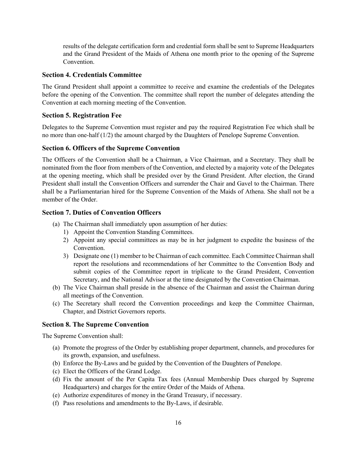results of the delegate certification form and credential form shall be sent to Supreme Headquarters and the Grand President of the Maids of Athena one month prior to the opening of the Supreme Convention.

#### **Section 4. Credentials Committee**

The Grand President shall appoint a committee to receive and examine the credentials of the Delegates before the opening of the Convention. The committee shall report the number of delegates attending the Convention at each morning meeting of the Convention.

#### **Section 5. Registration Fee**

Delegates to the Supreme Convention must register and pay the required Registration Fee which shall be no more than one-half (1/2) the amount charged by the Daughters of Penelope Supreme Convention.

#### **Section 6. Officers of the Supreme Convention**

The Officers of the Convention shall be a Chairman, a Vice Chairman, and a Secretary. They shall be nominated from the floor from members of the Convention, and elected by a majority vote of the Delegates at the opening meeting, which shall be presided over by the Grand President. After election, the Grand President shall install the Convention Officers and surrender the Chair and Gavel to the Chairman. There shall be a Parliamentarian hired for the Supreme Convention of the Maids of Athena. She shall not be a member of the Order.

#### **Section 7. Duties of Convention Officers**

- (a) The Chairman shall immediately upon assumption of her duties:
	- 1) Appoint the Convention Standing Committees.
	- 2) Appoint any special committees as may be in her judgment to expedite the business of the Convention.
	- 3) Designate one (1) member to be Chairman of each committee. Each Committee Chairman shall report the resolutions and recommendations of her Committee to the Convention Body and submit copies of the Committee report in triplicate to the Grand President, Convention Secretary, and the National Advisor at the time designated by the Convention Chairman.
- (b) The Vice Chairman shall preside in the absence of the Chairman and assist the Chairman during all meetings of the Convention.
- (c) The Secretary shall record the Convention proceedings and keep the Committee Chairman, Chapter, and District Governors reports.

#### **Section 8. The Supreme Convention**

The Supreme Convention shall:

- (a) Promote the progress of the Order by establishing proper department, channels, and procedures for its growth, expansion, and usefulness.
- (b) Enforce the By-Laws and be guided by the Convention of the Daughters of Penelope.
- (c) Elect the Officers of the Grand Lodge.
- (d) Fix the amount of the Per Capita Tax fees (Annual Membership Dues charged by Supreme Headquarters) and charges for the entire Order of the Maids of Athena.
- (e) Authorize expenditures of money in the Grand Treasury, if necessary.
- (f) Pass resolutions and amendments to the By-Laws, if desirable.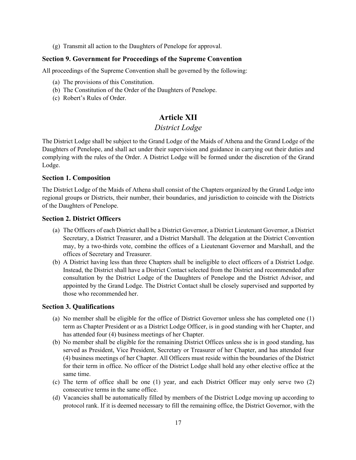(g) Transmit all action to the Daughters of Penelope for approval.

#### **Section 9. Government for Proceedings of the Supreme Convention**

All proceedings of the Supreme Convention shall be governed by the following:

- (a) The provisions of this Constitution.
- (b) The Constitution of the Order of the Daughters of Penelope.
- (c) Robert's Rules of Order.

## **Article XII**

## *District Lodge*

The District Lodge shall be subject to the Grand Lodge of the Maids of Athena and the Grand Lodge of the Daughters of Penelope, and shall act under their supervision and guidance in carrying out their duties and complying with the rules of the Order. A District Lodge will be formed under the discretion of the Grand Lodge.

#### **Section 1. Composition**

The District Lodge of the Maids of Athena shall consist of the Chapters organized by the Grand Lodge into regional groups or Districts, their number, their boundaries, and jurisdiction to coincide with the Districts of the Daughters of Penelope.

#### **Section 2. District Officers**

- (a) The Officers of each District shall be a District Governor, a District Lieutenant Governor, a District Secretary, a District Treasurer, and a District Marshall. The delegation at the District Convention may, by a two-thirds vote, combine the offices of a Lieutenant Governor and Marshall, and the offices of Secretary and Treasurer.
- (b) A District having less than three Chapters shall be ineligible to elect officers of a District Lodge. Instead, the District shall have a District Contact selected from the District and recommended after consultation by the District Lodge of the Daughters of Penelope and the District Advisor, and appointed by the Grand Lodge. The District Contact shall be closely supervised and supported by those who recommended her.

#### **Section 3. Qualifications**

- (a) No member shall be eligible for the office of District Governor unless she has completed one (1) term as Chapter President or as a District Lodge Officer, is in good standing with her Chapter, and has attended four (4) business meetings of her Chapter.
- (b) No member shall be eligible for the remaining District Offices unless she is in good standing, has served as President, Vice President, Secretary or Treasurer of her Chapter, and has attended four (4) business meetings of her Chapter. All Officers must reside within the boundaries of the District for their term in office. No officer of the District Lodge shall hold any other elective office at the same time.
- (c) The term of office shall be one (1) year, and each District Officer may only serve two (2) consecutive terms in the same office.
- (d) Vacancies shall be automatically filled by members of the District Lodge moving up according to protocol rank. If it is deemed necessary to fill the remaining office, the District Governor, with the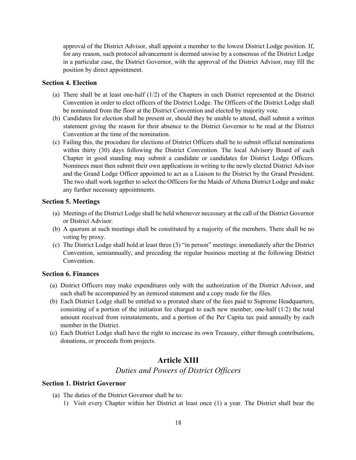approval of the District Advisor, shall appoint a member to the lowest District Lodge position. If, for any reason, such protocol advancement is deemed unwise by a consensus of the District Lodge in a particular case, the District Governor, with the approval of the District Advisor, may fill the position by direct appointment.

#### **Section 4. Election**

- (a) There shall be at least one-half (1/2) of the Chapters in each District represented at the District Convention in order to elect officers of the District Lodge. The Officers of the District Lodge shall be nominated from the floor at the District Convention and elected by majority vote.
- (b) Candidates for election shall be present or, should they be unable to attend, shall submit a written statement giving the reason for their absence to the District Governor to be read at the District Convention at the time of the nomination.
- (c) Failing this, the procedure for elections of District Officers shall be to submit official nominations within thirty (30) days following the District Convention. The local Advisory Board of each Chapter in good standing may submit a candidate or candidates for District Lodge Officers. Nominees must then submit their own applications in writing to the newly elected District Advisor and the Grand Lodge Officer appointed to act as a Liaison to the District by the Grand President. The two shall work together to select the Officers for the Maids of Athena District Lodge and make any further necessary appointments.

#### **Section 5. Meetings**

- (a) Meetings of the District Lodge shall be held whenever necessary at the call of the District Governor or District Advisor.
- (b) A quorum at such meetings shall be constituted by a majority of the members. There shall be no voting by proxy.
- (c) The District Lodge shall hold at least three (3) "in person" meetings: immediately after the District Convention, semiannually, and preceding the regular business meeting at the following District Convention.

#### **Section 6. Finances**

- (a) District Officers may make expenditures only with the authorization of the District Advisor, and each shall be accompanied by an itemized statement and a copy made for the files.
- (b) Each District Lodge shall be entitled to a prorated share of the fees paid to Supreme Headquarters, consisting of a portion of the initiation fee charged to each new member, one-half  $(1/2)$  the total amount received from reinstatements, and a portion of the Per Capita tax paid annually by each member in the District.
- (c) Each District Lodge shall have the right to increase its own Treasury, either through contributions, donations, or proceeds from projects.

## **Article XIII**

#### *Duties and Powers of District Officers*

#### **Section 1. District Governor**

- (a) The duties of the District Governor shall be to:
	- 1) Visit every Chapter within her District at least once (1) a year. The District shall bear the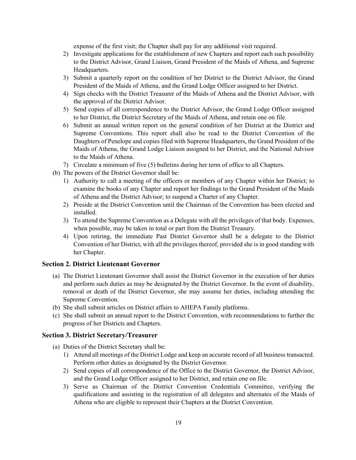expense of the first visit; the Chapter shall pay for any additional visit required.

- 2) Investigate applications for the establishment of new Chapters and report each such possibility to the District Advisor, Grand Liaison, Grand President of the Maids of Athena, and Supreme Headquarters.
- 3) Submit a quarterly report on the condition of her District to the District Advisor, the Grand President of the Maids of Athena, and the Grand Lodge Officer assigned to her District.
- 4) Sign checks with the District Treasurer of the Maids of Athena and the District Advisor, with the approval of the District Advisor.
- 5) Send copies of all correspondence to the District Advisor, the Grand Lodge Officer assigned to her District, the District Secretary of the Maids of Athena, and retain one on file.
- 6) Submit an annual written report on the general condition of her District at the District and Supreme Conventions. This report shall also be read to the District Convention of the Daughters of Penelope and copies filed with Supreme Headquarters, the Grand President of the Maids of Athena, the Grand Lodge Liaison assigned to her District, and the National Advisor to the Maids of Athena.
- 7) Circulate a minimum of five (5) bulletins during her term of office to all Chapters.
- (b) The powers of the District Governor shall be:
	- 1) Authority to call a meeting of the officers or members of any Chapter within her District; to examine the books of any Chapter and report her findings to the Grand President of the Maids of Athena and the District Advisor; to suspend a Charter of any Chapter.
	- 2) Preside at the District Convention until the Chairman of the Convention has been elected and installed.
	- 3) To attend the Supreme Convention as a Delegate with all the privileges of that body. Expenses, when possible, may be taken in total or part from the District Treasury.
	- 4) Upon retiring, the immediate Past District Governor shall be a delegate to the District Convention of her District, with all the privileges thereof, provided she is in good standing with her Chapter.

#### **Section 2. District Lieutenant Governor**

- (a) The District Lieutenant Governor shall assist the District Governor in the execution of her duties and perform such duties as may be designated by the District Governor. In the event of disability, removal or death of the District Governor, she may assume her duties, including attending the Supreme Convention.
- (b) She shall submit articles on District affairs to AHEPA Family platforms.
- (c) She shall submit an annual report to the District Convention, with recommendations to further the progress of her Districts and Chapters.

#### **Section 3. District Secretary/Treasurer**

- (a) Duties of the District Secretary shall be:
	- 1) Attend all meetings of the District Lodge and keep an accurate record of all business transacted. Perform other duties as designated by the District Governor.
	- 2) Send copies of all correspondence of the Office to the District Governor, the District Advisor, and the Grand Lodge Officer assigned to her District, and retain one on file.
	- 3) Serve as Chairman of the District Convention Credentials Committee, verifying the qualifications and assisting in the registration of all delegates and alternates of the Maids of Athena who are eligible to represent their Chapters at the District Convention.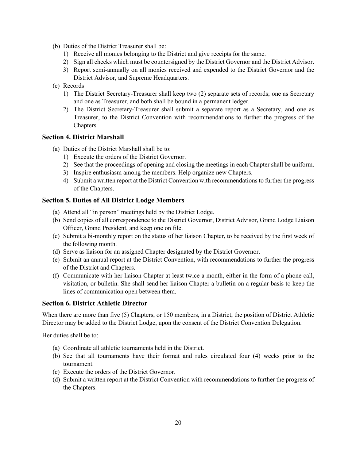- (b) Duties of the District Treasurer shall be:
	- 1) Receive all monies belonging to the District and give receipts for the same.
	- 2) Sign all checks which must be countersigned by the District Governor and the District Advisor.
	- 3) Report semi-annually on all monies received and expended to the District Governor and the District Advisor, and Supreme Headquarters.
- (c) Records
	- 1) The District Secretary-Treasurer shall keep two (2) separate sets of records; one as Secretary and one as Treasurer, and both shall be bound in a permanent ledger.
	- 2) The District Secretary-Treasurer shall submit a separate report as a Secretary, and one as Treasurer, to the District Convention with recommendations to further the progress of the Chapters.

#### **Section 4. District Marshall**

- (a) Duties of the District Marshall shall be to:
	- 1) Execute the orders of the District Governor.
	- 2) See that the proceedings of opening and closing the meetings in each Chapter shall be uniform.
	- 3) Inspire enthusiasm among the members. Help organize new Chapters.
	- 4) Submit a written report at the District Convention with recommendations to further the progress of the Chapters.

#### **Section 5. Duties of All District Lodge Members**

- (a) Attend all "in person" meetings held by the District Lodge.
- (b) Send copies of all correspondence to the District Governor, District Advisor, Grand Lodge Liaison Officer, Grand President, and keep one on file.
- (c) Submit a bi-monthly report on the status of her liaison Chapter, to be received by the first week of the following month.
- (d) Serve as liaison for an assigned Chapter designated by the District Governor.
- (e) Submit an annual report at the District Convention, with recommendations to further the progress of the District and Chapters.
- (f) Communicate with her liaison Chapter at least twice a month, either in the form of a phone call, visitation, or bulletin. She shall send her liaison Chapter a bulletin on a regular basis to keep the lines of communication open between them.

#### **Section 6. District Athletic Director**

When there are more than five (5) Chapters, or 150 members, in a District, the position of District Athletic Director may be added to the District Lodge, upon the consent of the District Convention Delegation.

Her duties shall be to:

- (a) Coordinate all athletic tournaments held in the District.
- (b) See that all tournaments have their format and rules circulated four (4) weeks prior to the tournament.
- (c) Execute the orders of the District Governor.
- (d) Submit a written report at the District Convention with recommendations to further the progress of the Chapters.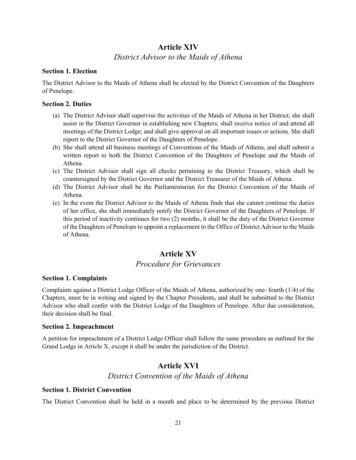## **Article XIV**

## *District Advisor to the Maids of Athena*

#### **Section 1. Election**

The District Advisor to the Maids of Athena shall be elected by the District Convention of the Daughters of Penelope.

#### **Section 2. Duties**

- (a) The District Advisor shall supervise the activities of the Maids of Athena in her District; she shall assist in the District Governor in establishing new Chapters; shall receive notice of and attend all meetings of the District Lodge; and shall give approval on all important issues or actions. She shall report to the District Governor of the Daughters of Penelope.
- (b) She shall attend all business meetings of Conventions of the Maids of Athena, and shall submit a written report to both the District Convention of the Daughters of Penelope and the Maids of Athena.
- (c) The District Advisor shall sign all checks pertaining to the District Treasury, which shall be countersigned by the District Governor and the District Treasurer of the Maids of Athena.
- (d) The District Advisor shall be the Parliamentarian for the District Convention of the Maids of Athena.
- (e) In the event the District Advisor to the Maids of Athena finds that she cannot continue the duties of her office, she shall immediately notify the District Governor of the Daughters of Penelope. If this period of inactivity continues for two (2) months, it shall be the duty of the District Governor of the Daughters of Penelope to appoint a replacement to the Office of District Advisor to the Maids of Athena.

## **Article XV**

## *Procedure for Grievances*

#### **Section 1. Complaints**

Complaints against a District Lodge Officer of the Maids of Athena, authorized by one- fourth (1/4) of the Chapters, must be in writing and signed by the Chapter Presidents, and shall be submitted to the District Advisor who shall confer with the District Lodge of the Daughters of Penelope. After due consideration, their decision shall be final.

#### **Section 2. Impeachment**

A petition for impeachment of a District Lodge Officer shall follow the same procedure as outlined for the Grand Lodge in Article X, except it shall be under the jurisdiction of the District.

## **Article XVI**

*District Convention of the Maids of Athena*

#### **Section 1. District Convention**

The District Convention shall be held in a month and place to be determined by the previous District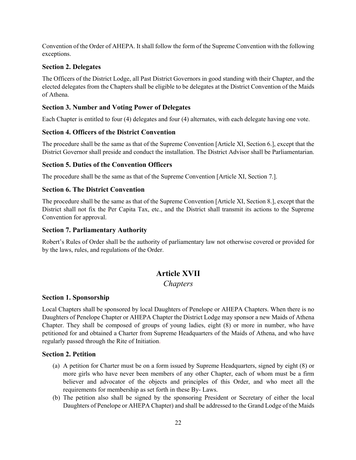Convention of the Order of AHEPA. It shall follow the form of the Supreme Convention with the following exceptions.

#### **Section 2. Delegates**

The Officers of the District Lodge, all Past District Governors in good standing with their Chapter, and the elected delegates from the Chapters shall be eligible to be delegates at the District Convention of the Maids of Athena.

#### **Section 3. Number and Voting Power of Delegates**

Each Chapter is entitled to four (4) delegates and four (4) alternates, with each delegate having one vote.

#### **Section 4. Officers of the District Convention**

The procedure shall be the same as that of the Supreme Convention [Article XI, Section 6.], except that the District Governor shall preside and conduct the installation. The District Advisor shall be Parliamentarian.

#### **Section 5. Duties of the Convention Officers**

The procedure shall be the same as that of the Supreme Convention [Article XI, Section 7.].

#### **Section 6. The District Convention**

The procedure shall be the same as that of the Supreme Convention [Article XI, Section 8.], except that the District shall not fix the Per Capita Tax, etc., and the District shall transmit its actions to the Supreme Convention for approval.

#### **Section 7. Parliamentary Authority**

Robert's Rules of Order shall be the authority of parliamentary law not otherwise covered or provided for by the laws, rules, and regulations of the Order.

## **Article XVII**

## *Chapters*

#### **Section 1. Sponsorship**

Local Chapters shall be sponsored by local Daughters of Penelope or AHEPA Chapters. When there is no Daughters of Penelope Chapter or AHEPA Chapter the District Lodge may sponsor a new Maids of Athena Chapter. They shall be composed of groups of young ladies, eight (8) or more in number, who have petitioned for and obtained a Charter from Supreme Headquarters of the Maids of Athena, and who have regularly passed through the Rite of Initiation.

#### **Section 2. Petition**

- (a) A petition for Charter must be on a form issued by Supreme Headquarters, signed by eight (8) or more girls who have never been members of any other Chapter, each of whom must be a firm believer and advocator of the objects and principles of this Order, and who meet all the requirements for membership as set forth in these By- Laws.
- (b) The petition also shall be signed by the sponsoring President or Secretary of either the local Daughters of Penelope or AHEPA Chapter) and shall be addressed to the Grand Lodge of the Maids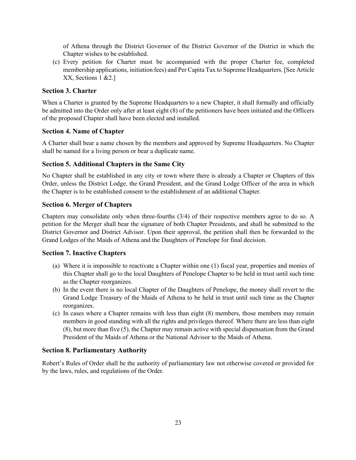of Athena through the District Governor of the District Governor of the District in which the Chapter wishes to be established.

(c) Every petition for Charter must be accompanied with the proper Charter fee, completed membership applications, initiation fees) and Per Capita Tax to Supreme Headquarters. [See Article XX, Sections 1 &2.]

#### **Section 3. Charter**

When a Charter is granted by the Supreme Headquarters to a new Chapter, it shall formally and officially be admitted into the Order only after at least eight (8) of the petitioners have been initiated and the Officers of the proposed Chapter shall have been elected and installed.

#### **Section 4. Name of Chapter**

A Charter shall bear a name chosen by the members and approved by Supreme Headquarters. No Chapter shall be named for a living person or bear a duplicate name.

#### **Section 5. Additional Chapters in the Same City**

No Chapter shall be established in any city or town where there is already a Chapter or Chapters of this Order, unless the District Lodge, the Grand President, and the Grand Lodge Officer of the area in which the Chapter is to be established consent to the establishment of an additional Chapter.

#### **Section 6. Merger of Chapters**

Chapters may consolidate only when three-fourths (3/4) of their respective members agree to do so. A petition for the Merger shall bear the signature of both Chapter Presidents, and shall be submitted to the District Governor and District Advisor. Upon their approval, the petition shall then be forwarded to the Grand Lodges of the Maids of Athena and the Daughters of Penelope for final decision.

#### **Section 7. Inactive Chapters**

- (a) Where it is impossible to reactivate a Chapter within one (1) fiscal year, properties and monies of this Chapter shall go to the local Daughters of Penelope Chapter to be held in trust until such time as the Chapter reorganizes.
- (b) In the event there is no local Chapter of the Daughters of Penelope, the money shall revert to the Grand Lodge Treasury of the Maids of Athena to be held in trust until such time as the Chapter reorganizes.
- (c) In cases where a Chapter remains with less than eight (8) members, those members may remain members in good standing with all the rights and privileges thereof. Where there are less than eight (8), but more than five (5), the Chapter may remain active with special dispensation from the Grand President of the Maids of Athena or the National Advisor to the Maids of Athena.

#### **Section 8. Parliamentary Authority**

Robert's Rules of Order shall be the authority of parliamentary law not otherwise covered or provided for by the laws, rules, and regulations of the Order.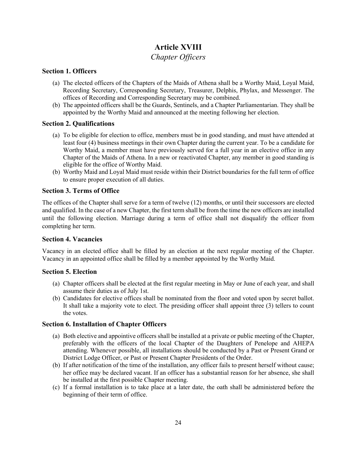## **Article XVIII**

## *Chapter Officers*

## **Section 1. Officers**

- (a) The elected officers of the Chapters of the Maids of Athena shall be a Worthy Maid, Loyal Maid, Recording Secretary, Corresponding Secretary, Treasurer, Delphis, Phylax, and Messenger. The offices of Recording and Corresponding Secretary may be combined.
- (b) The appointed officers shall be the Guards, Sentinels, and a Chapter Parliamentarian. They shall be appointed by the Worthy Maid and announced at the meeting following her election.

#### **Section 2. Qualifications**

- (a) To be eligible for election to office, members must be in good standing, and must have attended at least four (4) business meetings in their own Chapter during the current year. To be a candidate for Worthy Maid, a member must have previously served for a full year in an elective office in any Chapter of the Maids of Athena. In a new or reactivated Chapter, any member in good standing is eligible for the office of Worthy Maid.
- (b) Worthy Maid and Loyal Maid must reside within their District boundaries for the full term of office to ensure proper execution of all duties.

## **Section 3. Terms of Office**

The offices of the Chapter shall serve for a term of twelve (12) months, or until their successors are elected and qualified. In the case of a new Chapter, the first term shall be from the time the new officers are installed until the following election. Marriage during a term of office shall not disqualify the officer from completing her term.

#### **Section 4. Vacancies**

Vacancy in an elected office shall be filled by an election at the next regular meeting of the Chapter. Vacancy in an appointed office shall be filled by a member appointed by the Worthy Maid.

#### **Section 5. Election**

- (a) Chapter officers shall be elected at the first regular meeting in May or June of each year, and shall assume their duties as of July 1st.
- (b) Candidates for elective offices shall be nominated from the floor and voted upon by secret ballot. It shall take a majority vote to elect. The presiding officer shall appoint three (3) tellers to count the votes.

#### **Section 6. Installation of Chapter Officers**

- (a) Both elective and appointive officers shall be installed at a private or public meeting of the Chapter, preferably with the officers of the local Chapter of the Daughters of Penelope and AHEPA attending. Whenever possible, all installations should be conducted by a Past or Present Grand or District Lodge Officer, or Past or Present Chapter Presidents of the Order.
- (b) If after notification of the time of the installation, any officer fails to present herself without cause; her office may be declared vacant. If an officer has a substantial reason for her absence, she shall be installed at the first possible Chapter meeting.
- (c) If a formal installation is to take place at a later date, the oath shall be administered before the beginning of their term of office.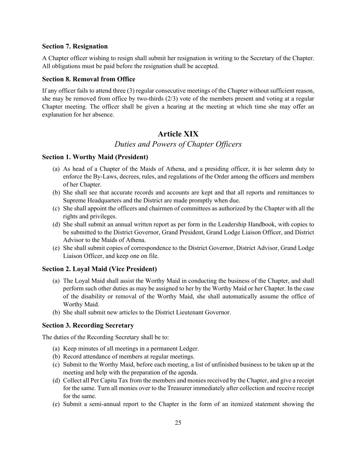#### **Section 7. Resignation**

A Chapter officer wishing to resign shall submit her resignation in writing to the Secretary of the Chapter. All obligations must be paid before the resignation shall be accepted.

#### **Section 8. Removal from Office**

If any officer fails to attend three (3) regular consecutive meetings of the Chapter without sufficient reason, she may be removed from office by two-thirds (2/3) vote of the members present and voting at a regular Chapter meeting. The officer shall be given a hearing at the meeting at which time she may offer an explanation for her absence.

## **Article XIX**

## *Duties and Powers of Chapter Officers*

#### **Section 1. Worthy Maid (President)**

- (a) As head of a Chapter of the Maids of Athena, and a presiding officer, it is her solemn duty to enforce the By-Laws, decrees, rules, and regulations of the Order among the officers and members of her Chapter.
- (b) She shall see that accurate records and accounts are kept and that all reports and remittances to Supreme Headquarters and the District are made promptly when due.
- (c) She shall appoint the officers and chairmen of committees as authorized by the Chapter with all the rights and privileges.
- (d) She shall submit an annual written report as per form in the Leadership Handbook, with copies to be submitted to the District Governor, Grand President, Grand Lodge Liaison Officer, and District Advisor to the Maids of Athena.
- (e) She shall submit copies of correspondence to the District Governor, District Advisor, Grand Lodge Liaison Officer, and keep one on file.

#### **Section 2. Loyal Maid (Vice President)**

- (a) The Loyal Maid shall assist the Worthy Maid in conducting the business of the Chapter, and shall perform such other duties as may be assigned to her by the Worthy Maid or her Chapter. In the case of the disability or removal of the Worthy Maid, she shall automatically assume the office of Worthy Maid.
- (b) She shall submit new articles to the District Lieutenant Governor.

#### **Section 3. Recording Secretary**

The duties of the Recording Secretary shall be to:

- (a) Keep minutes of all meetings in a permanent Ledger.
- (b) Record attendance of members at regular meetings.
- (c) Submit to the Worthy Maid, before each meeting, a list of unfinished business to be taken up at the meeting and help with the preparation of the agenda.
- (d) Collect all Per Capita Tax from the members and monies received by the Chapter, and give a receipt for the same. Turn all monies over to the Treasurer immediately after collection and receive receipt for the same.
- (e) Submit a semi-annual report to the Chapter in the form of an itemized statement showing the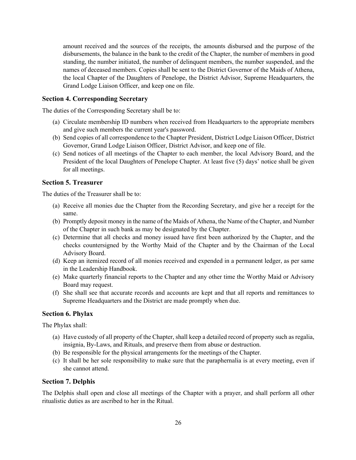amount received and the sources of the receipts, the amounts disbursed and the purpose of the disbursements, the balance in the bank to the credit of the Chapter, the number of members in good standing, the number initiated, the number of delinquent members, the number suspended, and the names of deceased members. Copies shall be sent to the District Governor of the Maids of Athena, the local Chapter of the Daughters of Penelope, the District Advisor, Supreme Headquarters, the Grand Lodge Liaison Officer, and keep one on file.

#### **Section 4. Corresponding Secretary**

The duties of the Corresponding Secretary shall be to:

- (a) Circulate membership ID numbers when received from Headquarters to the appropriate members and give such members the current year's password.
- (b) Send copies of all correspondence to the Chapter President, District Lodge Liaison Officer, District Governor, Grand Lodge Liaison Officer, District Advisor, and keep one of file.
- (c) Send notices of all meetings of the Chapter to each member, the local Advisory Board, and the President of the local Daughters of Penelope Chapter. At least five (5) days' notice shall be given for all meetings.

#### **Section 5. Treasurer**

The duties of the Treasurer shall be to:

- (a) Receive all monies due the Chapter from the Recording Secretary, and give her a receipt for the same.
- (b) Promptly deposit money in the name of the Maids of Athena, the Name of the Chapter, and Number of the Chapter in such bank as may be designated by the Chapter.
- (c) Determine that all checks and money issued have first been authorized by the Chapter, and the checks countersigned by the Worthy Maid of the Chapter and by the Chairman of the Local Advisory Board.
- (d) Keep an itemized record of all monies received and expended in a permanent ledger, as per same in the Leadership Handbook.
- (e) Make quarterly financial reports to the Chapter and any other time the Worthy Maid or Advisory Board may request.
- (f) She shall see that accurate records and accounts are kept and that all reports and remittances to Supreme Headquarters and the District are made promptly when due.

#### **Section 6. Phylax**

The Phylax shall:

- (a) Have custody of all property of the Chapter, shall keep a detailed record of property such as regalia, insignia, By-Laws, and Rituals, and preserve them from abuse or destruction.
- (b) Be responsible for the physical arrangements for the meetings of the Chapter.
- (c) It shall be her sole responsibility to make sure that the paraphernalia is at every meeting, even if she cannot attend.

#### **Section 7. Delphis**

The Delphis shall open and close all meetings of the Chapter with a prayer, and shall perform all other ritualistic duties as are ascribed to her in the Ritual.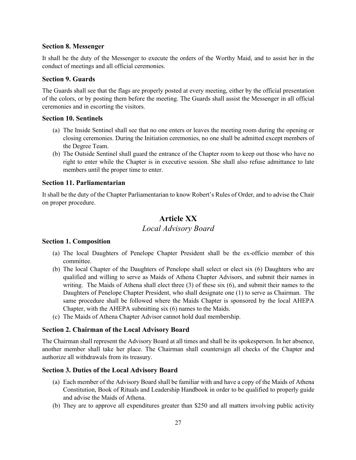#### **Section 8. Messenger**

It shall be the duty of the Messenger to execute the orders of the Worthy Maid, and to assist her in the conduct of meetings and all official ceremonies.

#### **Section 9. Guards**

The Guards shall see that the flags are properly posted at every meeting, either by the official presentation of the colors, or by posting them before the meeting. The Guards shall assist the Messenger in all official ceremonies and in escorting the visitors.

#### **Section 10. Sentinels**

- (a) The Inside Sentinel shall see that no one enters or leaves the meeting room during the opening or closing ceremonies. During the Initiation ceremonies, no one shall be admitted except members of the Degree Team.
- (b) The Outside Sentinel shall guard the entrance of the Chapter room to keep out those who have no right to enter while the Chapter is in executive session. She shall also refuse admittance to late members until the proper time to enter.

#### **Section 11. Parliamentarian**

It shall be the duty of the Chapter Parliamentarian to know Robert's Rules of Order, and to advise the Chair on proper procedure.

## **Article XX**

## *Local Advisory Board*

#### **Section 1. Composition**

- (a) The local Daughters of Penelope Chapter President shall be the ex-officio member of this committee.
- (b) The local Chapter of the Daughters of Penelope shall select or elect six (6) Daughters who are qualified and willing to serve as Maids of Athena Chapter Advisors, and submit their names in writing. The Maids of Athena shall elect three (3) of these six (6), and submit their names to the Daughters of Penelope Chapter President, who shall designate one (1) to serve as Chairman. The same procedure shall be followed where the Maids Chapter is sponsored by the local AHEPA Chapter, with the AHEPA submitting six (6) names to the Maids.
- (c) The Maids of Athena Chapter Advisor cannot hold dual membership.

#### **Section 2. Chairman of the Local Advisory Board**

The Chairman shall represent the Advisory Board at all times and shall be its spokesperson. In her absence, another member shall take her place. The Chairman shall countersign all checks of the Chapter and authorize all withdrawals from its treasury.

#### **Section 3. Duties of the Local Advisory Board**

- (a) Each member of the Advisory Board shall be familiar with and have a copy of the Maids of Athena Constitution, Book of Rituals and Leadership Handbook in order to be qualified to properly guide and advise the Maids of Athena.
- (b) They are to approve all expenditures greater than \$250 and all matters involving public activity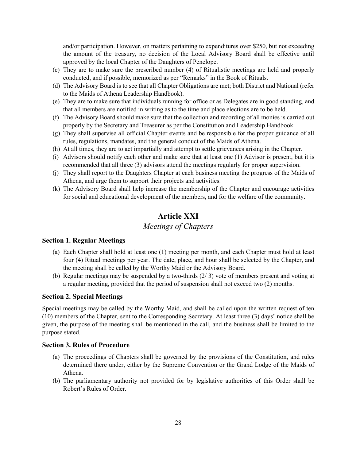and/or participation. However, on matters pertaining to expenditures over \$250, but not exceeding the amount of the treasury, no decision of the Local Advisory Board shall be effective until approved by the local Chapter of the Daughters of Penelope.

- (c) They are to make sure the prescribed number (4) of Ritualistic meetings are held and properly conducted, and if possible, memorized as per "Remarks" in the Book of Rituals.
- (d) The Advisory Board is to see that all Chapter Obligations are met; both District and National (refer to the Maids of Athena Leadership Handbook).
- (e) They are to make sure that individuals running for office or as Delegates are in good standing, and that all members are notified in writing as to the time and place elections are to be held.
- (f) The Advisory Board should make sure that the collection and recording of all monies is carried out properly by the Secretary and Treasurer as per the Constitution and Leadership Handbook.
- (g) They shall supervise all official Chapter events and be responsible for the proper guidance of all rules, regulations, mandates, and the general conduct of the Maids of Athena.
- (h) At all times, they are to act impartially and attempt to settle grievances arising in the Chapter.
- (i) Advisors should notify each other and make sure that at least one (1) Advisor is present, but it is recommended that all three (3) advisors attend the meetings regularly for proper supervision.
- (j) They shall report to the Daughters Chapter at each business meeting the progress of the Maids of Athena, and urge them to support their projects and activities.
- (k) The Advisory Board shall help increase the membership of the Chapter and encourage activities for social and educational development of the members, and for the welfare of the community.

## **Article XXI**

## *Meetings of Chapters*

#### **Section 1. Regular Meetings**

- (a) Each Chapter shall hold at least one (1) meeting per month, and each Chapter must hold at least four (4) Ritual meetings per year. The date, place, and hour shall be selected by the Chapter, and the meeting shall be called by the Worthy Maid or the Advisory Board.
- (b) Regular meetings may be suspended by a two-thirds (2/ 3) vote of members present and voting at a regular meeting, provided that the period of suspension shall not exceed two (2) months.

#### **Section 2. Special Meetings**

Special meetings may be called by the Worthy Maid, and shall be called upon the written request of ten (10) members of the Chapter, sent to the Corresponding Secretary. At least three (3) days' notice shall be given, the purpose of the meeting shall be mentioned in the call, and the business shall be limited to the purpose stated.

#### **Section 3. Rules of Procedure**

- (a) The proceedings of Chapters shall be governed by the provisions of the Constitution, and rules determined there under, either by the Supreme Convention or the Grand Lodge of the Maids of Athena.
- (b) The parliamentary authority not provided for by legislative authorities of this Order shall be Robert's Rules of Order.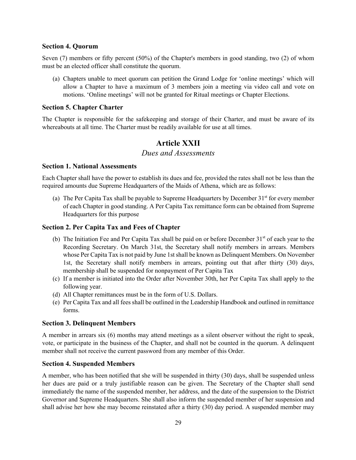#### **Section 4. Quorum**

Seven (7) members or fifty percent (50%) of the Chapter's members in good standing, two (2) of whom must be an elected officer shall constitute the quorum.

(a) Chapters unable to meet quorum can petition the Grand Lodge for 'online meetings' which will allow a Chapter to have a maximum of 3 members join a meeting via video call and vote on motions. 'Online meetings' will not be granted for Ritual meetings or Chapter Elections.

#### **Section 5. Chapter Charter**

The Chapter is responsible for the safekeeping and storage of their Charter, and must be aware of its whereabouts at all time. The Charter must be readily available for use at all times.

## **Article XXII**

#### *Dues and Assessments*

#### **Section 1. National Assessments**

Each Chapter shall have the power to establish its dues and fee, provided the rates shall not be less than the required amounts due Supreme Headquarters of the Maids of Athena, which are as follows:

(a) The Per Capita Tax shall be payable to Supreme Headquarters by December  $31<sup>st</sup>$  for every member of each Chapter in good standing. A Per Capita Tax remittance form can be obtained from Supreme Headquarters for this purpose

#### **Section 2. Per Capita Tax and Fees of Chapter**

- (b) The Initiation Fee and Per Capita Tax shall be paid on or before December  $31<sup>st</sup>$  of each year to the Recording Secretary. On March 31st, the Secretary shall notify members in arrears. Members whose Per Capita Tax is not paid by June 1st shall be known as Delinquent Members. On November 1st, the Secretary shall notify members in arrears, pointing out that after thirty (30) days, membership shall be suspended for nonpayment of Per Capita Tax
- (c) If a member is initiated into the Order after November 30th, her Per Capita Tax shall apply to the following year.
- (d) All Chapter remittances must be in the form of U.S. Dollars.
- (e) Per Capita Tax and all fees shall be outlined in the Leadership Handbook and outlined in remittance forms.

#### **Section 3. Delinquent Members**

A member in arrears six (6) months may attend meetings as a silent observer without the right to speak, vote, or participate in the business of the Chapter, and shall not be counted in the quorum. A delinquent member shall not receive the current password from any member of this Order.

#### **Section 4. Suspended Members**

A member, who has been notified that she will be suspended in thirty (30) days, shall be suspended unless her dues are paid or a truly justifiable reason can be given. The Secretary of the Chapter shall send immediately the name of the suspended member, her address, and the date of the suspension to the District Governor and Supreme Headquarters. She shall also inform the suspended member of her suspension and shall advise her how she may become reinstated after a thirty (30) day period. A suspended member may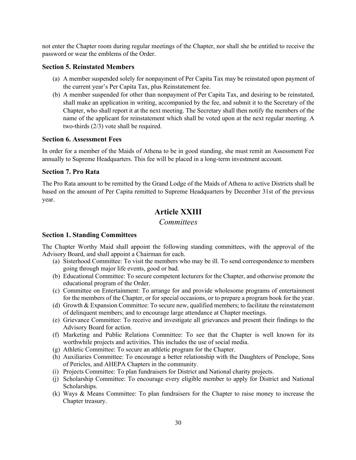not enter the Chapter room during regular meetings of the Chapter, nor shall she be entitled to receive the password or wear the emblems of the Order.

#### **Section 5. Reinstated Members**

- (a) A member suspended solely for nonpayment of Per Capita Tax may be reinstated upon payment of the current year's Per Capita Tax, plus Reinstatement fee.
- (b) A member suspended for other than nonpayment of Per Capita Tax, and desiring to be reinstated, shall make an application in writing, accompanied by the fee, and submit it to the Secretary of the Chapter, who shall report it at the next meeting. The Secretary shall then notify the members of the name of the applicant for reinstatement which shall be voted upon at the next regular meeting. A two-thirds (2/3) vote shall be required.

#### **Section 6. Assessment Fees**

In order for a member of the Maids of Athena to be in good standing, she must remit an Assessment Fee annually to Supreme Headquarters. This fee will be placed in a long-term investment account.

#### **Section 7. Pro Rata**

The Pro Rata amount to be remitted by the Grand Lodge of the Maids of Athena to active Districts shall be based on the amount of Per Capita remitted to Supreme Headquarters by December 31st of the previous year.

## **Article XXIII**

*Committees*

#### **Section 1. Standing Committees**

The Chapter Worthy Maid shall appoint the following standing committees, with the approval of the Advisory Board, and shall appoint a Chairman for each.

- (a) Sisterhood Committee: To visit the members who may be ill. To send correspondence to members going through major life events, good or bad.
- (b) Educational Committee: To secure competent lecturers for the Chapter, and otherwise promote the educational program of the Order.
- (c) Committee on Entertainment: To arrange for and provide wholesome programs of entertainment for the members of the Chapter, or for special occasions, or to prepare a program book for the year.
- (d) Growth & Expansion Committee: To secure new, qualified members; to facilitate the reinstatement of delinquent members; and to encourage large attendance at Chapter meetings.
- (e) Grievance Committee: To receive and investigate all grievances and present their findings to the Advisory Board for action.
- (f) Marketing and Public Relations Committee: To see that the Chapter is well known for its worthwhile projects and activities. This includes the use of social media.
- (g) Athletic Committee: To secure an athletic program for the Chapter.
- (h) Auxiliaries Committee: To encourage a better relationship with the Daughters of Penelope, Sons of Pericles, and AHEPA Chapters in the community.
- (i) Projects Committee: To plan fundraisers for District and National charity projects.
- (j) Scholarship Committee: To encourage every eligible member to apply for District and National Scholarships.
- (k) Ways & Means Committee: To plan fundraisers for the Chapter to raise money to increase the Chapter treasury.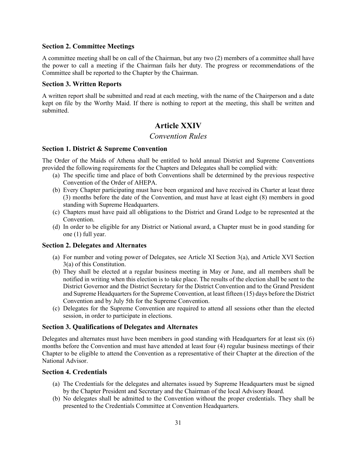#### **Section 2. Committee Meetings**

A committee meeting shall be on call of the Chairman, but any two (2) members of a committee shall have the power to call a meeting if the Chairman fails her duty. The progress or recommendations of the Committee shall be reported to the Chapter by the Chairman.

#### **Section 3. Written Reports**

A written report shall be submitted and read at each meeting, with the name of the Chairperson and a date kept on file by the Worthy Maid. If there is nothing to report at the meeting, this shall be written and submitted.

## **Article XXIV**

#### *Convention Rules*

#### **Section 1. District & Supreme Convention**

The Order of the Maids of Athena shall be entitled to hold annual District and Supreme Conventions provided the following requirements for the Chapters and Delegates shall be complied with:

- (a) The specific time and place of both Conventions shall be determined by the previous respective Convention of the Order of AHEPA.
- (b) Every Chapter participating must have been organized and have received its Charter at least three (3) months before the date of the Convention, and must have at least eight (8) members in good standing with Supreme Headquarters.
- (c) Chapters must have paid all obligations to the District and Grand Lodge to be represented at the Convention.
- (d) In order to be eligible for any District or National award, a Chapter must be in good standing for one (1) full year.

#### **Section 2. Delegates and Alternates**

- (a) For number and voting power of Delegates, see Article XI Section 3(a), and Article XVI Section 3(a) of this Constitution.
- (b) They shall be elected at a regular business meeting in May or June, and all members shall be notified in writing when this election is to take place. The results of the election shall be sent to the District Governor and the District Secretary for the District Convention and to the Grand President and Supreme Headquarters for the Supreme Convention, at least fifteen (15) days before the District Convention and by July 5th for the Supreme Convention.
- (c) Delegates for the Supreme Convention are required to attend all sessions other than the elected session, in order to participate in elections.

#### **Section 3. Qualifications of Delegates and Alternates**

Delegates and alternates must have been members in good standing with Headquarters for at least six (6) months before the Convention and must have attended at least four (4) regular business meetings of their Chapter to be eligible to attend the Convention as a representative of their Chapter at the direction of the National Advisor.

#### **Section 4. Credentials**

- (a) The Credentials for the delegates and alternates issued by Supreme Headquarters must be signed by the Chapter President and Secretary and the Chairman of the local Advisory Board.
- (b) No delegates shall be admitted to the Convention without the proper credentials. They shall be presented to the Credentials Committee at Convention Headquarters.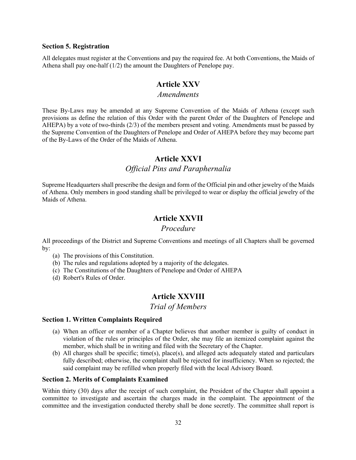#### **Section 5. Registration**

All delegates must register at the Conventions and pay the required fee. At both Conventions, the Maids of Athena shall pay one-half (1/2) the amount the Daughters of Penelope pay.

## **Article XXV**

#### *Amendments*

These By-Laws may be amended at any Supreme Convention of the Maids of Athena (except such provisions as define the relation of this Order with the parent Order of the Daughters of Penelope and AHEPA) by a vote of two-thirds (2/3) of the members present and voting. Amendments must be passed by the Supreme Convention of the Daughters of Penelope and Order of AHEPA before they may become part of the By-Laws of the Order of the Maids of Athena.

#### **Article XXVI**

## *Official Pins and Paraphernalia*

Supreme Headquarters shall prescribe the design and form of the Official pin and other jewelry of the Maids of Athena. Only members in good standing shall be privileged to wear or display the official jewelry of the Maids of Athena.

## **Article XXVII**

#### *Procedure*

All proceedings of the District and Supreme Conventions and meetings of all Chapters shall be governed by:

- (a) The provisions of this Constitution.
- (b) The rules and regulations adopted by a majority of the delegates.
- (c) The Constitutions of the Daughters of Penelope and Order of AHEPA
- (d) Robert's Rules of Order.

## **Article XXVIII**

*Trial of Members*

#### **Section 1. Written Complaints Required**

- (a) When an officer or member of a Chapter believes that another member is guilty of conduct in violation of the rules or principles of the Order, she may file an itemized complaint against the member, which shall be in writing and filed with the Secretary of the Chapter.
- (b) All charges shall be specific; time(s), place(s), and alleged acts adequately stated and particulars fully described; otherwise, the complaint shall be rejected for insufficiency. When so rejected; the said complaint may be refilled when properly filed with the local Advisory Board.

#### **Section 2. Merits of Complaints Examined**

Within thirty (30) days after the receipt of such complaint, the President of the Chapter shall appoint a committee to investigate and ascertain the charges made in the complaint. The appointment of the committee and the investigation conducted thereby shall be done secretly. The committee shall report is